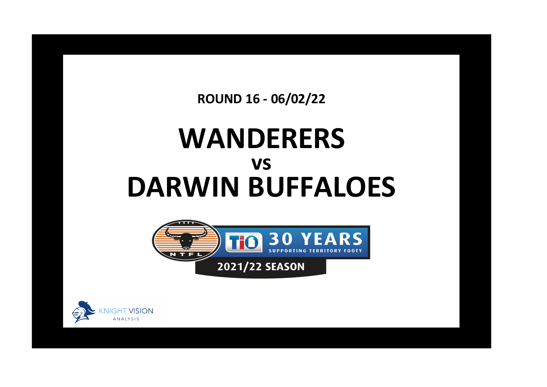**ROUND 16 - 06/02/22**

## **WANDERERS DARWIN BUFFALOES vs**



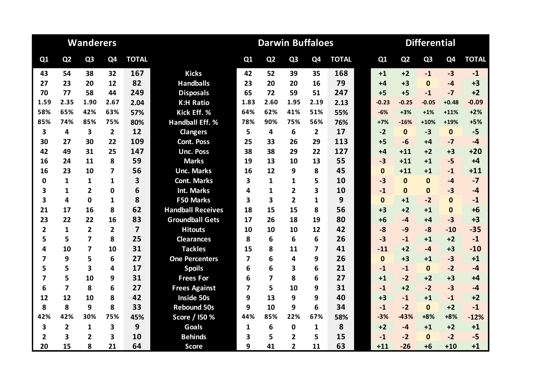|                |                         | <b>Wanderers</b>        |                |                |                          | <b>Darwin Buffaloes</b><br><b>Differential</b> |                |                |                |              |  |              |                |                |                |              |
|----------------|-------------------------|-------------------------|----------------|----------------|--------------------------|------------------------------------------------|----------------|----------------|----------------|--------------|--|--------------|----------------|----------------|----------------|--------------|
| Q1             | Q <sub>2</sub>          | Q <sub>3</sub>          | Q4             | <b>TOTAL</b>   |                          | Q1                                             | Q <sub>2</sub> | Q <sub>3</sub> | Q <sub>4</sub> | <b>TOTAL</b> |  | Q1           | Q <sub>2</sub> | Q <sub>3</sub> | Q <sub>4</sub> | <b>TOTAL</b> |
| 43             | 54                      | 38                      | 32             | 167            | <b>Kicks</b>             | 42                                             | 52             | 39             | 35             | 168          |  | $+1$         | $+2$           | $-1$           | $-3$           | $-1$         |
| 27             | 23                      | 20                      | 12             | 82             | <b>Handballs</b>         | 23                                             | 20             | 20             | 16             | 79           |  | $+4$         | $+3$           | $\mathbf{0}$   | $-4$           | $+3$         |
| 70             | 77                      | 58                      | 44             | 249            | <b>Disposals</b>         | 65                                             | 72             | 59             | 51             | 247          |  | $+5$         | $+5$           | $-1$           | $-7$           | $+2$         |
| 1.59           | 2.35                    | 1.90                    | 2.67           | 2.04           | <b>K:H Ratio</b>         | 1.83                                           | 2.60           | 1.95           | 2.19           | 2.13         |  | $-0.23$      | $-0.25$        | $-0.05$        | $+0.48$        | $-0.09$      |
| 58%            | 65%                     | 42%                     | 63%            | 57%            | Kick Eff. %              | 64%                                            | 62%            | 41%            | 51%            | 55%          |  | $-6%$        | $+3%$          | $+1%$          | $+11%$         | $+2%$        |
| 85%            | 74%                     | 85%                     | 75%            | 80%            | <b>Handball Eff. %</b>   | 78%                                            | 90%            | 75%            | 56%            | 76%          |  | $+7%$        | $-16%$         | $+10%$         | $+19%$         | $+5%$        |
| 3              | 4                       | 3                       | $\overline{2}$ | 12             | <b>Clangers</b>          | 5                                              | 4              | 6              | $\overline{2}$ | 17           |  | $-2$         | $\mathbf{0}$   | $-3$           | $\mathbf{0}$   | $-5$         |
| 30             | 27                      | 30                      | 22             | 109            | <b>Cont. Poss</b>        | 25                                             | 33             | 26             | 29             | 113          |  | $+5$         | $-6$           | +4             | $-7$           | $-4$         |
| 42             | 49                      | 31                      | 25             | 147            | <b>Unc. Poss</b>         | 38                                             | 38             | 29             | 22             | 127          |  | $+4$         | $+11$          | $+2$           | $+3$           | $+20$        |
| 16             | 24                      | 11                      | 8              | 59             | <b>Marks</b>             | 19                                             | 13             | 10             | 13             | 55           |  | $-3$         | $+11$          | $+1$           | $-5$           | $+4$         |
| 16             | 23                      | 10                      | 7              | 56             | <b>Unc. Marks</b>        | 16                                             | 12             | 9              | 8              | 45           |  | $\Omega$     | $+11$          | $+1$           | $-1$           | $+11$        |
| 0              | 1                       | $\mathbf{1}$            | 1              | 3              | <b>Cont. Marks</b>       | 3                                              | 1              | 1              | 5              | 10           |  | $-3$         | $\mathbf{0}$   | $\Omega$       | $-4$           | $-7$         |
| 3              | 1                       | $\overline{2}$          | 0              | 6              | <b>Int. Marks</b>        | 4                                              | $\mathbf{1}$   | $\overline{2}$ | 3              | 10           |  | $-1$         | $\mathbf{0}$   | $\mathbf{0}$   | $-3$           | $-4$         |
| 3              | 4                       | $\Omega$                | 1              | 8              | <b>F50 Marks</b>         | 3                                              | 3              | $\overline{2}$ | 1              | 9            |  | $\mathbf{0}$ | $+1$           | $-2$           | $\bf{0}$       | $-1$         |
| 21             | 17                      | 16                      | 8              | 62             | <b>Handball Receives</b> | 18                                             | 15             | 15             | 8              | 56           |  | $+3$         | $+2$           | $+1$           | $\mathbf 0$    | $+6$         |
| 23             | 22                      | 22                      | 16             | 83             | <b>Groundball Gets</b>   | 17                                             | 26             | 18             | 19             | 80           |  | $+6$         | $-4$           | $+4$           | $-3$           | $+3$         |
| 2              | $\mathbf{1}$            | $\overline{2}$          | $\overline{2}$ | $\overline{7}$ | <b>Hitouts</b>           | 10                                             | 10             | 10             | 12             | 42           |  | $-8$         | $-9$           | $-8$           | $-10$          | $-35$        |
| 5              | 5                       | $\overline{7}$          | 8              | 25             | <b>Clearances</b>        | 8                                              | 6              | 6              | 6              | 26           |  | $-3$         | $-1$           | $+1$           | $+2$           | $-1$         |
| 4              | 10                      | $\overline{\mathbf{z}}$ | 10             | 31             | <b>Tackles</b>           | 15                                             | 8              | 11             | 7              | 41           |  | $-11$        | $+2$           | $-4$           | $+3$           | $-10$        |
| 7              | 9                       | 5                       | 6              | 27             | <b>One Percenters</b>    | 7                                              | 6              | 4              | 9              | 26           |  | $\mathbf{0}$ | $+3$           | $+1$           | $-3$           | $+1$         |
| 5              | 5                       | 3                       | 4              | 17             | <b>Spoils</b>            | 6                                              | 6              | 3              | 6              | 21           |  | $-1$         | $-1$           | $\mathbf{0}$   | $-2$           | $-4$         |
| 7              | 5                       | 10                      | 9              | 31             | <b>Frees For</b>         | 6                                              | $\overline{7}$ | 8              | 6              | 27           |  | $+1$         | $-2$           | $+2$           | $+3$           | $+4$         |
| 6              | $\overline{7}$          | 8                       | 6              | 27             | <b>Frees Against</b>     | 7                                              | 5              | 10             | 9              | 31           |  | $-1$         | $+2$           | $-2$           | $-3$           | $-4$         |
| 12             | 12                      | 10                      | 8              | 42             | <b>Inside 50s</b>        | 9                                              | 13             | 9              | 9              | 40           |  | $+3$         | $-1$           | $+1$           | $-1$           | $+2$         |
| 8              | 8                       | 9                       | 8              | 33             | <b>Rebound 50s</b>       | 9                                              | 10             | 9              | 6              | 34           |  | $-1$         | $-2$           | $\mathbf{0}$   | $+2$           | $-1$         |
| 42%            | 42%                     | 30%                     | 75%            | 45%            | Score / I50 %            | 44%                                            | 85%            | 22%            | 67%            | 58%          |  | $-3%$        | $-43%$         | $+8%$          | $+8%$          | $-12%$       |
| 3              | $\overline{\mathbf{2}}$ | $\mathbf{1}$            | 3              | 9              | <b>Goals</b>             | 1                                              | 6              | $\mathbf{0}$   | 1              | 8            |  | $+2$         | $-4$           | $+1$           | $+2$           | $+1$         |
| $\overline{2}$ | 3                       | $\overline{2}$          | 3              | 10             | <b>Behinds</b>           | 3                                              | 5              | $\overline{2}$ | 5              | 15           |  | $-1$         | $-2$           | $\Omega$       | $-2$           | $-5$         |
| 20             | 15                      | 8                       | 21             | 64             | <b>Score</b>             | 9                                              | 41             | $\overline{2}$ | 11             | 63           |  | $+11$        | $-26$          | $+6$           | $+10$          | $+1$         |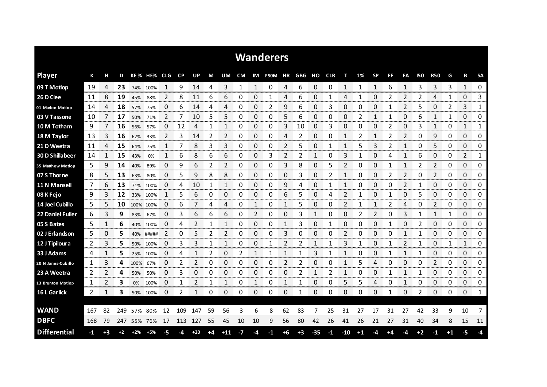|                     |     |      |      |       |             |                                        |                 |       |    |                |    |               | <b>Wanderers</b>         |      |      |       |      |                |      |             |                |                      |               |                        |                     |                    |                        |
|---------------------|-----|------|------|-------|-------------|----------------------------------------|-----------------|-------|----|----------------|----|---------------|--------------------------|------|------|-------|------|----------------|------|-------------|----------------|----------------------|---------------|------------------------|---------------------|--------------------|------------------------|
| <b>Player</b>       | К   | н    | D    |       | KE% HE% CLG |                                        | <b>CP</b>       | UP    | M  | UM             |    |               | CM IM F50M HR GBG HO CLR |      |      |       |      | т              | 1%   | <b>SP</b>   | FF             | FA                   | <b>I50</b>    | <b>R50</b>             | G                   | В                  | <b>SA</b>              |
| 09 T Motlop         | 19  | 4    | 23   | 74%   | 100%        |                                        | 9               | 14    | 4  | 3              | 1  | 1             | 0                        | 4    | 6    | 0     | 0    | 1              |      | 1           | 6              | 1                    | З             | 3                      | 3                   | 1                  | 0                      |
| 26 D Clee           | 11  | 8    | 19   | 45%   | 88%         | 2                                      | 8               | 11    | 6  | 6              | 0  | 0             |                          | 4    | 6    | 0     |      | 4              | 1    | 0           | 2              | $\overline{2}$       | 2             | 4                      | 1                   | 0                  | 3                      |
| 01 Marlon Motlop    | 14  | 4    | 18   | 57%   | 75%         | 0                                      | 6               | 14    | 4  | 4              | 0  | 0             | 2                        | 9    | 6    | 0     | 3    | 0              | 0    | 0           |                | 2                    | 5             | 0                      | 2                   | 3                  | 1                      |
| 03 V Tassone        | 10  | 7    | 17   | 50%   | 71%         | 2                                      | 7               | 10    | 5  | 5              | 0  | 0             | 0                        | 5    | 6    | 0     | 0    | 0              | 2    | 1           |                | 0                    | 6             | 1                      | 1                   | 0                  | 0                      |
| 10 M Totham         | 9   |      | 16   | 56%   | 57%         | 0                                      | 12              | 4     | 1  | 1              | 0  | 0             | 0                        | 3    | 10   | 0     | 3    | 0              | 0    | 0           | 2              | 0                    | 3             | $\mathbf{1}$           | 0                   | 1                  | 1                      |
| 18 M Taylor         | 13  | 3    | 16   | 62%   | 33%         | 2                                      | 3               | 14    | 2  | 2              | 0  | 0             | 0                        | 4    | 2    | 0     | 0    | $\mathbf{1}$   | 2    | 1           | 2              | 2                    | 0             | 9                      | 0                   | 0                  | 0                      |
| 21 D Weetra         | 11  | 4    | 15   | 64%   | 75%         |                                        |                 | 8     | 3  | 3              | 0  | 0             | 0                        | 2    | 5    | 0     |      | 1              | 5    | 3           | 2              |                      | 0             | 5                      | 0                   | 0                  | 0                      |
| 30 D Shillabeer     | 14  | 1    | 15   | 43%   | 0%          | 1                                      | 6               | 8     | 6  | 6              | 0  | 0             | 3                        | 2    | 2    | 1     | 0    | 3              |      | 0           | 4              | 1                    | 6             | 0                      | 0                   | 2                  | 1                      |
| 35 Matthew Motlop   | 5   | 9    | 14   | 40%   | 89%         | 0                                      | 9               | 6     | 2  | $\overline{2}$ | 0  | 0             | 0                        | 3    | 8    | 0     | 5    | $\overline{2}$ | 0    | 0           | 1              | 1                    | 2             | $\overline{2}$         | 0                   | 0                  | 0                      |
| 07 S Thorne         | 8   | 5    | 13   | 63%   | 80%         | 0                                      | 5               | 9     | 8  | 8              | 0  | 0             | 0                        | 0    | 3    | 0     | 2    | 1              | 0    | 0           | $\overline{2}$ | 2                    | 0             | 2                      | 0                   | 0                  | 0                      |
| 11 N Mansell        | 7   | 6    | 13   | 71%   | 100%        | 0                                      | 4               | 10    | 1  | 1              | 0  | 0             | 0                        | 9    | 4    | 0     |      | 1              | 0    | 0           | 0              | $\overline{2}$       |               | 0                      | 0                   | $\Omega$           | 0                      |
| 08 K Fejo           | 9   | 3    | 12   |       | 33% 100%    | 1                                      | 5               | 6     | 0  | 0              | 0  | 0             | 0                        | 6    | 5    | 0     | 4    | 2              |      | 0           | 1              | 0                    | 5             | 0                      | 0                   | 0                  | 0                      |
| 14 Joel Cubillo     | 5   | 5    | 10   |       | 100% 100%   | 0                                      | 6               |       | 4  | 4              | 0  | 1             | 0                        | 1    | 5    | 0     | 0    | 2              | 1    | 1           | 2              | 4                    | 0             | $\overline{2}$         | 0                   | 0                  | 0                      |
| 22 Daniel Fuller    | 6   | 3    | 9    | 83%   | 67%         | 0                                      | 3               | 6     | 6  | 6              | 0  | 2             | 0                        | 0    | 3    | 1     | 0    | 0              | 2    | 2           | 0              | 3                    |               | 1                      | 1                   | 0                  | 0                      |
| 05 S Bates          | 5   |      | 6    | 40%   | 100%        | 0                                      | 4               | 2     | 1  |                | 0  | 0             | 0                        |      | 3    | 0     |      | 0              | O    | 0           |                | 0                    | 2             | 0                      | 0                   | 0                  | 0                      |
| 02 J Erlandson      | 5   | 0    | 5    | 40%   | #####       | 2                                      | 0               | 5     | 2  |                | 0  | 0             | 0                        | 3    | 0    | 0     | Ω    |                | O    | 0           | C              | annan m              |               | 0                      | 0                   | 0<br>mann          | 0<br>onnon             |
| 12 J Tipiloura      | 2   | 3    | 5    | 50%   | 100%        | 0<br><b><i><u>CONSTRUCTION</u></i></b> | 3<br>an an an a | 3     |    |                | 0  | 0             |                          | 2    | 2    |       |      | 3              |      | 0           |                | 2<br><b>Services</b> |               | 0<br>anan me           | 1<br><b>Service</b> | 1<br>ana ana amin' | 0<br>www.com           |
| 33 J Adams          | 4   |      | 5    | 25%   | 100%        | 0                                      |                 |       |    | 0              | 2  |               |                          |      |      | 3     |      |                |      | 0           |                |                      |               | 0                      | 0                   | 0                  | 0                      |
| 20 N Jones-Cubillo  | 1   | 3    | 4    | 100%  | 67%         | 0                                      | 2               | 2     | 0  | 0              | 0  | 0             | 0                        | 2    | 2    | 0     | 0    | 1              | 5    | 4           | 0              | 0                    | 0             | 2                      | 0                   | 0                  | 0                      |
| 23 A Weetra         | 2   | 2    | 4    | 50%   | 50%         | 0                                      | 3               | 0     | 0  | 0              | 0  | 0<br>ter en a | 0                        | 0    | 2    |       |      | 1              | 0    | 0<br>onn on |                | <b>Secondary</b>     | <b>DOM:NO</b> | 0<br>ananan            | 0<br>mmmmm          | 0<br><b>TODOOT</b> | 0<br><b>Secondo</b>    |
| 13 Brenton Motlop   | 1   |      | 3    | 0%    | 100%        | 0                                      | 1               | 2     |    |                | 0  |               | 0                        |      |      | 0     | 0    | 5              | 5    | 4           | 0              |                      | 0             | 0<br><b>CONTRACTOR</b> | 0                   | 0                  | 0<br><b>Territoria</b> |
| 16 L Garlick        | 2   |      | 3    |       | 50% 100%    | 0                                      | 2               |       | 0  | 0              | 0  | 0             | 0                        | 0    |      | 0     | 0    | 0              | 0    | 0           |                | 0                    | 2             | 0                      | 0                   | 0                  | 1                      |
|                     |     |      |      |       |             |                                        |                 |       |    |                |    |               |                          |      |      |       |      |                |      |             |                |                      |               |                        |                     |                    |                        |
| <b>WAND</b>         | 167 | 82   | 249  | 57%   | 80%         | 12                                     | 109             | 147   | 59 | 56             | 3  | 6             | 8                        | 62   | 83   | 7     | 25   | 31             | 27   | 17          | 31             | 27                   | 42            | 33                     | 9                   | 10                 | 7                      |
| <b>DBFC</b>         | 168 | 79   | 247  |       | 55% 76%     | 17                                     | 113             | 127   | 55 | 45             | 10 | 10            | 9                        | 56   | 80   | 42    | 26   | 41             | 26   | 21          | 27             | 31                   | 40            | 34                     | 8                   | 15                 | 11                     |
| <b>Differential</b> | -1  | $+3$ | $+2$ | $+2%$ | $+5%$       |                                        | -4              | $+20$ | +4 | $+11$          | -7 | -4            | -1                       | $+6$ | $+3$ | $-35$ | $-1$ | $-10$          | $+1$ | -4          | +4             | -4                   | $+2$          | -1                     | +1                  | -5                 | -4                     |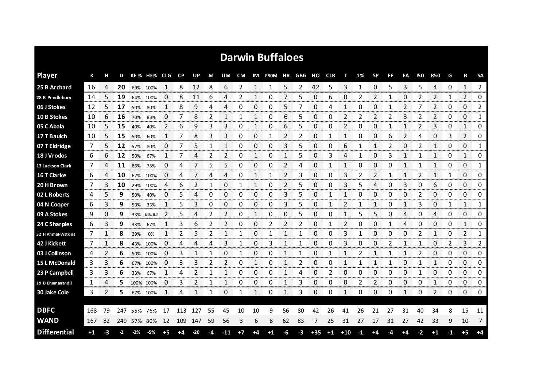|                     |      |    |                         |       |             |              |           |     |    |     |      |    | <b>Darwin Buffaloes</b> |                |    |       |            |       |      |           |              |              |     |              |    |                      |                |
|---------------------|------|----|-------------------------|-------|-------------|--------------|-----------|-----|----|-----|------|----|-------------------------|----------------|----|-------|------------|-------|------|-----------|--------------|--------------|-----|--------------|----|----------------------|----------------|
| <b>Player</b>       | К    |    | D                       |       | KE% HE% CLG |              | <b>CP</b> | UP  | М  | UM  | CM   |    | IM F50M HR GBG          |                |    | но    | <b>CLR</b> | т     | 1%   | <b>SP</b> | FF           | FA           | 150 | <b>R50</b>   | G  | в                    | <b>SA</b>      |
| 25 B Archard        | 16   | 4  | 20                      |       | 69% 100%    | -1           | 8         | 12  | 8  | 6   | 2    | 1  | 1                       | 5              | 2  | 42    | 5          | 3     | 1    | 0         | 5            | 3            | 5   | 4            | 0  | $\mathbf{1}$         | 2              |
| 28 R Pendlebury     | 14   | 5  | 19                      |       | 64% 100%    | 0            | 8         | 11  | 6  | 4   | 2    | 1  | 0                       | 7              | 5  | 0     | 6          | 0     | 2    | 2         | 1            | 0            | 2   | 2            | 1  | 2                    | 0              |
| 06 J Stokes         | 12   | 5  | 17                      | 50%   | 80%         | 1            | 8         | 9   | 4  | 4   | 0    | 0  | 0                       | 5              | 7  | 0     | 4          | 1     | 0    | 0         | 1            | 2            |     | 2            | 0  | 0                    | 2              |
| 10 B Stokes         | 10   | 6  | 16                      | 70%   | 83%         | 0            | 7         | 8   | 2  | 1   | 1    | 1  | 0                       | 6              | 5  | 0     | 0          | 2     | 2    | 2         | 2            | 3            | 2   | 2            | 0  | 0                    | 1              |
| 05 C Abala          | 10   | 5  | 15                      | 40%   | 40%         | 2            | 6         | 9   | 3  | 3   | 0    | 1  | 0                       | 6              | 5  | 0     | 0          | 2     | 0    | 0         | $\mathbf{1}$ | $\mathbf{1}$ | 2   | 3            | 0  | $\mathbf{1}$         | 0              |
| 17 T Baulch         | 10   | 5  | 15                      | 50%   | 60%         | 1            | 7         | 8   | 3  | 3   | 0    | 0  | 1                       | 2              | 2  | 0     | 1          | 1     | 0    | 0         | 6            | 2            | 4   | 0            | 3  | 2                    | 0              |
| 07 T Eldridge       | 7    | 5  | 12                      | 57%   | 80%         | 0            | 7         | 5   | 1  | 1   | 0    | 0  | 0                       | 3              | 5  | 0     | 0          | 6     |      | 1         | 2            | 0            | 2   | 1            | 0  | $\Omega$             | 1              |
| 18 J Vrodos         | 6    | 6  | 12                      | 50%   | 67%         | $\mathbf{1}$ | 7         | 4   | 2  | 2   | 0    | 1  | 0                       | 1              | 5  | 0     | 3          | 4     | 1    | 0         | 3            | 1            | 1   | 1            | 0  | $\mathbf{1}$         | 0              |
| 13 Jackson Clark    | 7    | 4  | 11                      | 86%   | 75%         | 0            | 4         | 7   | 5  | 5   | 0    | 0  | 0                       | $\overline{2}$ | 4  | 0     |            | 1     | 0    | 0         | 0            | $\mathbf{1}$ |     | $\mathbf{1}$ | 0  | $\Omega$             | 1              |
| 16 T Clarke         | 6    | 4  | 10                      | 67%   | 100%        | 0            | 4         | 7   | 4  | 4   | 0    | 1  | 1                       | 2              | 3  | 0     | 0          | 3     | 2    | 2         | 1            | $\mathbf{1}$ | 2   | 1            | 1  | 0                    | 0              |
| 20 H Brown          | 7    | 3  | 10                      | 29%   | 100%        | 4            | 6         | 2   |    | 0   |      | 1  | 0                       | 2              | 5  | 0     | 0          | 3     | 5    | 4         | 0            | 3            | 0   | 6            | 0  | 0                    | 0              |
| 02 L Roberts        | 4    | 5  | 9                       | 50%   | 40%         | 0            | 5         | 4   | 0  | 0   | 0    | 0  | 0                       | 3              | 5  | 0     | 1          | 1     | 0    | 0         | 0            | 0            | 2   | 0            | 0  | 0                    | 0              |
| 04 N Cooper         | 6    | 3  | 9                       | 50%   | 33%         |              | 5         | 3   | 0  | 0   | 0    | 0  | 0                       | 3              | 5  | 0     |            | 2     |      | 1         | 0            | $\mathbf{1}$ | 3   | $\pmb{0}$    |    | 1                    | 1              |
| 09 A Stokes         | 9    | 0  | 9                       |       | 33% #####   | 2            | 5         | 4   | 2  | 2   | 0    | 1  | 0                       | 0              | 5  | 0     | 0          | 1     | 5    | 5         | 0            | 4            | 0   | 4            | 0  | 0                    | 0              |
| 24 C Sharples       | 6    | 3  | 9                       | 33%   | 67%         |              | 3         | 6   | 2  | 2   | Ω    | 0  | 2                       | 2              | 2  | 0     |            | 2     | O    | 0         |              | 4            | 0   | 0<br>www.    | 0  | 1<br><b>Mana</b> tan | 0              |
| 32 H Ahmat-Watkins  | 7    |    | 8                       | 29%   | 0%          |              | 2         | 5   | 2  | 1   | 1    | 0  | 1                       | 1              |    | 0     | 0          | 3     |      | 0         | O            | 0            | 2   | 1            | 0  | 2                    | 1<br>mmmmm     |
| 42 J Kickett        | 7    | 1  | 8                       |       | 43% 100%    | 0            | 4         | 4   | 4  | 3   |      | 0  | 3                       |                |    | 0     | 0          | 3     | 0    | 0         | 2            | 1            |     | 0            | 2  | 3                    | $\overline{2}$ |
| 03 J Collinson      | 4    | 2  | 6                       | 50%   | 100%        | 0            | 3         |     |    | 0   |      | 0  | 0                       | 1              |    | 0     |            |       |      |           |              |              | 2   | 0            | 0  | 0                    | 0              |
| 15 L McDonald       | 3    | 3  | 6                       | 67%   | 100%        | 0            | 3         | 3   | 2  | 2   | 0    | 1  | 0                       | $\mathbf{1}$   | 2  | 0     | 0          | 1     |      |           |              | 0            |     | 1            | 0  | 0                    | 0              |
| 23 P Campbell       | 3    | 3  | 6                       | 33%   | 67%         | 1            | 4         | 2   |    |     | 0    | 0  | 0                       | 1              | 4  | 0     | 2          | 0     | 0    | 0         | 0            | 0            | 1   | 0            | 0  | 0                    | 0              |
| 19 D Dhamarrandji   | 1    | 4  | 5                       |       | 100% 100%   | 0            | 3         | 2   | 1  | 1   | 0    | 0  | 0                       | 1              | 3  | 0     | 0          | 0     | 2    | 2         | 0            | 0            | 0   | 1            | 0  | 0                    | 0              |
| 30 Jake Cole        | 3    | 2  | 5                       |       | 67% 100%    | 1            | 4         | 1   | 1  | 0   | 1    | 1  | 0                       | 1              | 3  | 0     | 0          | 1     | 0    | 0         | 0            | 1            | 0   | 2            | 0  | 0                    | 0              |
|                     |      |    |                         |       |             |              |           |     |    |     |      |    |                         |                |    |       |            |       |      |           |              |              |     |              |    |                      |                |
| <b>DBFC</b>         | 168  | 79 | 247                     |       | 55% 76%     | 17           | 113       | 127 | 55 | 45  | 10   | 10 | 9                       | 56             | 80 | 42    | 26         | 41    | 26   | 21        | 27           | 31           | 40  | 34           | 8  | 15                   | 11             |
| <b>WAND</b>         | 167  | 82 | 249                     |       | 57% 80%     | 12           | 109       | 147 | 59 | 56  | 3    | 6  | 8                       | 62             | 83 | 7     | 25         | 31    | 27   | 17        | 31           | 27           | 42  | 33           | 9  | 10                   | 7              |
| <b>Differential</b> | $+1$ | -3 | $\overline{\mathbf{2}}$ | $-2%$ | $-5%$       | +5           | +4        | -20 | -4 | -11 | $+7$ | +4 | $+1$                    | -6             | -3 | $+35$ | $+1$       | $+10$ | $-1$ | +4        | -4           | +4           | -2  | $+1$         | -1 | $+5$                 | $+4$           |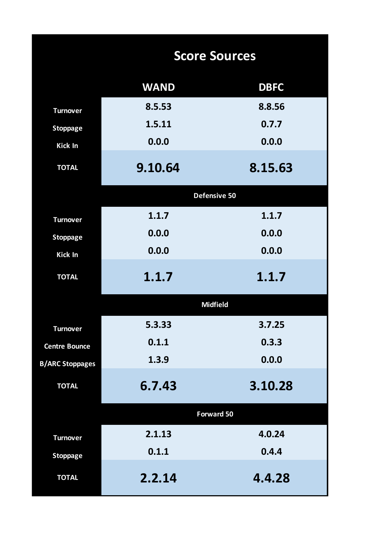|                        |             | <b>Score Sources</b> |
|------------------------|-------------|----------------------|
|                        | <b>WAND</b> | <b>DBFC</b>          |
| <b>Turnover</b>        | 8.5.53      | 8.8.56               |
| <b>Stoppage</b>        | 1.5.11      | 0.7.7                |
| Kick In                | 0.0.0       | 0.0.0                |
| <b>TOTAL</b>           | 9.10.64     | 8.15.63              |
|                        |             | Defensive 50         |
| <b>Turnover</b>        | 1.1.7       | 1.1.7                |
| <b>Stoppage</b>        | 0.0.0       | 0.0.0                |
| Kick In                | 0.0.0       | 0.0.0                |
| <b>TOTAL</b>           | 1.1.7       | 1.1.7                |
|                        |             | <b>Midfield</b>      |
| <b>Turnover</b>        | 5.3.33      | 3.7.25               |
| <b>Centre Bounce</b>   | 0.1.1       | 0.3.3                |
| <b>B/ARC Stoppages</b> | 1.3.9       | 0.0.0                |
| <b>TOTAL</b>           | 6.7.43      | 3.10.28              |
|                        |             | Forward 50           |
| <b>Turnover</b>        | 2.1.13      | 4.0.24               |
| <b>Stoppage</b>        | 0.1.1       | 0.4.4                |
| <b>TOTAL</b>           | 2.2.14      | 4.4.28               |